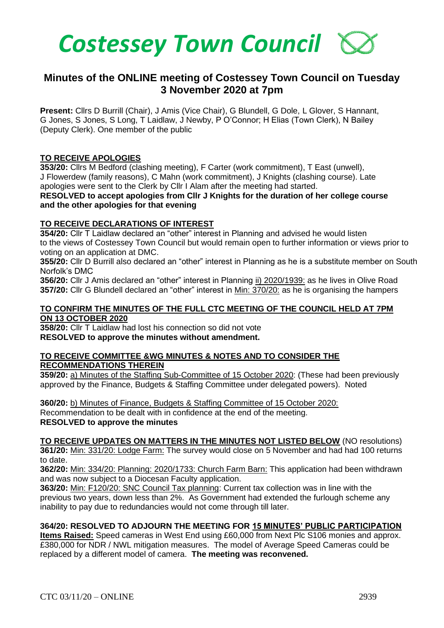

# **Minutes of the ONLINE meeting of Costessey Town Council on Tuesday 3 November 2020 at 7pm**

**Present:** Cllrs D Burrill (Chair), J Amis (Vice Chair), G Blundell, G Dole, L Glover, S Hannant, G Jones, S Jones, S Long, T Laidlaw, J Newby, P O'Connor; H Elias (Town Clerk), N Bailey (Deputy Clerk). One member of the public

#### **TO RECEIVE APOLOGIES**

**353/20:** Cllrs M Bedford (clashing meeting), F Carter (work commitment), T East (unwell), J Flowerdew (family reasons), C Mahn (work commitment), J Knights (clashing course). Late apologies were sent to the Clerk by Cllr I Alam after the meeting had started.

**RESOLVED to accept apologies from Cllr J Knights for the duration of her college course and the other apologies for that evening**

#### **TO RECEIVE DECLARATIONS OF INTEREST**

**354/20:** Cllr T Laidlaw declared an "other" interest in Planning and advised he would listen to the views of Costessey Town Council but would remain open to further information or views prior to voting on an application at DMC.

**355/20:** Cllr D Burrill also declared an "other" interest in Planning as he is a substitute member on South Norfolk's DMC

**356/20:** Cllr J Amis declared an "other" interest in Planning ii) 2020/1939: as he lives in Olive Road **357/20:** Cllr G Blundell declared an "other" interest in Min: 370/20: as he is organising the hampers

#### **TO CONFIRM THE MINUTES OF THE FULL CTC MEETING OF THE COUNCIL HELD AT 7PM ON 13 OCTOBER 2020**

**358/20:** Cllr T Laidlaw had lost his connection so did not vote **RESOLVED to approve the minutes without amendment.** 

#### **TO RECEIVE COMMITTEE &WG MINUTES & NOTES AND TO CONSIDER THE RECOMMENDATIONS THEREIN**

**359/20:** a) Minutes of the Staffing Sub-Committee of 15 October 2020: (These had been previously approved by the Finance, Budgets & Staffing Committee under delegated powers). Noted

**360/20:** b) Minutes of Finance, Budgets & Staffing Committee of 15 October 2020: Recommendation to be dealt with in confidence at the end of the meeting. **RESOLVED to approve the minutes** 

**TO RECEIVE UPDATES ON MATTERS IN THE MINUTES NOT LISTED BELOW** (NO resolutions) **361/20:** Min: 331/20: Lodge Farm: The survey would close on 5 November and had had 100 returns to date.

**362/20:** Min: 334/20: Planning: 2020/1733: Church Farm Barn: This application had been withdrawn and was now subject to a Diocesan Faculty application.

**363/20:** Min: F120/20: SNC Council Tax planning: Current tax collection was in line with the previous two years, down less than 2%. As Government had extended the furlough scheme any inability to pay due to redundancies would not come through till later.

### **364/20: RESOLVED TO ADJOURN THE MEETING FOR 15 MINUTES' PUBLIC PARTICIPATION**

**Items Raised:** Speed cameras in West End using £60,000 from Next Plc S106 monies and approx. £380,000 for NDR / NWL mitigation measures. The model of Average Speed Cameras could be replaced by a different model of camera. **The meeting was reconvened.**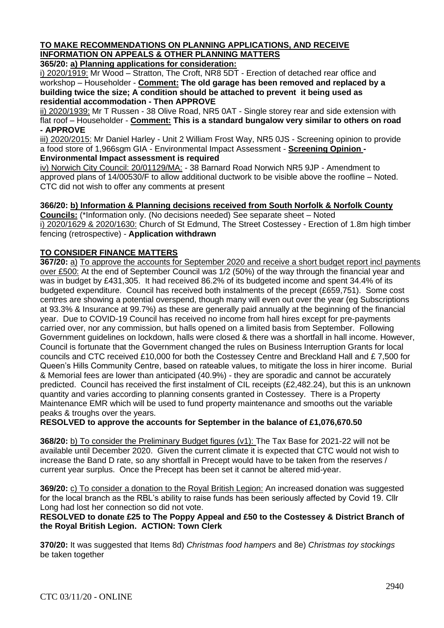## **TO MAKE RECOMMENDATIONS ON PLANNING APPLICATIONS, AND RECEIVE INFORMATION ON APPEALS & OTHER PLANNING MATTERS**

**365/20: a) Planning applications for consideration:**

i) 2020/1919: Mr Wood – Stratton, The Croft, NR8 5DT - Erection of detached rear office and workshop – Householder - **Comment: The old garage has been removed and replaced by a building twice the size; A condition should be attached to prevent it being used as residential accommodation - Then APPROVE**

ii) 2020/1939: Mr T Russen - 38 Olive Road, NR5 0AT - Single storey rear and side extension with flat roof – Householder - **Comment: This is a standard bungalow very similar to others on road - APPROVE**

iii) 2020/2015: Mr Daniel Harley - Unit 2 William Frost Way, NR5 0JS - Screening opinion to provide a food store of 1,966sgm GIA - Environmental Impact Assessment - **Screening Opinion - Environmental Impact assessment is required**

iv) Norwich City Council: 20/01129/MA: - 38 Barnard Road Norwich NR5 9JP - Amendment to approved plans of 14/00530/F to allow additional ductwork to be visible above the roofline – Noted. CTC did not wish to offer any comments at present

**366/20: b) Information & Planning decisions received from South Norfolk & Norfolk County** 

**Councils:** (\*Information only. (No decisions needed) See separate sheet – Noted i) 2020/1629 & 2020/1630: Church of St Edmund, The Street Costessey - Erection of 1.8m high timber fencing (retrospective) - **Application withdrawn**

## **TO CONSIDER FINANCE MATTERS**

**367/20:** a) To approve the accounts for September 2020 and receive a short budget report incl payments over £500: At the end of September Council was 1/2 (50%) of the way through the financial year and was in budget by £431,305. It had received 86.2% of its budgeted income and spent 34.4% of its budgeted expenditure. Council has received both instalments of the precept (£659,751). Some cost centres are showing a potential overspend, though many will even out over the year (eg Subscriptions at 93.3% & Insurance at 99.7%) as these are generally paid annually at the beginning of the financial year. Due to COVID-19 Council has received no income from hall hires except for pre-payments carried over, nor any commission, but halls opened on a limited basis from September. Following Government guidelines on lockdown, halls were closed & there was a shortfall in hall income. However, Council is fortunate that the Government changed the rules on Business Interruption Grants for local councils and CTC received £10,000 for both the Costessey Centre and Breckland Hall and £ 7,500 for Queen's Hills Community Centre, based on rateable values, to mitigate the loss in hirer income. Burial & Memorial fees are lower than anticipated (40.9%) - they are sporadic and cannot be accurately predicted. Council has received the first instalment of CIL receipts (£2,482.24), but this is an unknown quantity and varies according to planning consents granted in Costessey. There is a Property Maintenance EMR which will be used to fund property maintenance and smooths out the variable peaks & troughs over the years.

**RESOLVED to approve the accounts for September in the balance of £1,076,670.50**

**368/20:** b) To consider the Preliminary Budget figures (v1): The Tax Base for 2021-22 will not be available until December 2020. Given the current climate it is expected that CTC would not wish to increase the Band D rate, so any shortfall in Precept would have to be taken from the reserves / current year surplus. Once the Precept has been set it cannot be altered mid-year.

**369/20:** c) To consider a donation to the Royal British Legion: An increased donation was suggested for the local branch as the RBL's ability to raise funds has been seriously affected by Covid 19. Cllr Long had lost her connection so did not vote.

**RESOLVED to donate £25 to The Poppy Appeal and £50 to the Costessey & District Branch of the Royal British Legion. ACTION: Town Clerk**

**370/20:** It was suggested that Items 8d) *Christmas food hampers* and 8e) *Christmas toy stockings* be taken together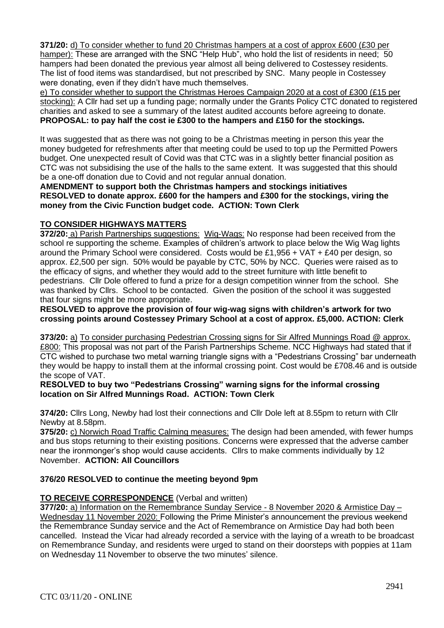**371/20:** d) To consider whether to fund 20 Christmas hampers at a cost of approx £600 (£30 per hamper): These are arranged with the SNC "Help Hub", who hold the list of residents in need; 50 hampers had been donated the previous year almost all being delivered to Costessey residents. The list of food items was standardised, but not prescribed by SNC. Many people in Costessey were donating, even if they didn't have much themselves.

e) To consider whether to support the Christmas Heroes Campaign 2020 at a cost of £300 (£15 per stocking): A Cllr had set up a funding page; normally under the Grants Policy CTC donated to registered charities and asked to see a summary of the latest audited accounts before agreeing to donate. **PROPOSAL: to pay half the cost ie £300 to the hampers and £150 for the stockings.**

It was suggested that as there was not going to be a Christmas meeting in person this year the money budgeted for refreshments after that meeting could be used to top up the Permitted Powers budget. One unexpected result of Covid was that CTC was in a slightly better financial position as CTC was not subsidising the use of the halls to the same extent. It was suggested that this should be a one-off donation due to Covid and not regular annual donation.

**AMENDMENT to support both the Christmas hampers and stockings initiatives RESOLVED to donate approx. £600 for the hampers and £300 for the stockings, viring the money from the Civic Function budget code. ACTION: Town Clerk**

## **TO CONSIDER HIGHWAYS MATTERS**

**372/20:** a) Parish Partnerships suggestions: Wig-Wags: No response had been received from the school re supporting the scheme. Examples of children's artwork to place below the Wig Wag lights around the Primary School were considered. Costs would be £1,956 + VAT + £40 per design, so approx. £2,500 per sign. 50% would be payable by CTC, 50% by NCC. Queries were raised as to the efficacy of signs, and whether they would add to the street furniture with little benefit to pedestrians. Cllr Dole offered to fund a prize for a design competition winner from the school. She was thanked by Cllrs. School to be contacted. Given the position of the school it was suggested that four signs might be more appropriate.

**RESOLVED to approve the provision of four wig-wag signs with children's artwork for two crossing points around Costessey Primary School at a cost of approx. £5,000. ACTION: Clerk**

**373/20:** a) To consider purchasing Pedestrian Crossing signs for Sir Alfred Munnings Road @ approx. £800: This proposal was not part of the Parish Partnerships Scheme. NCC Highways had stated that if CTC wished to purchase two metal warning triangle signs with a "Pedestrians Crossing" bar underneath they would be happy to install them at the informal crossing point. Cost would be £708.46 and is outside the scope of VAT.

#### **RESOLVED to buy two "Pedestrians Crossing" warning signs for the informal crossing location on Sir Alfred Munnings Road. ACTION: Town Clerk**

**374/20:** Cllrs Long, Newby had lost their connections and Cllr Dole left at 8.55pm to return with Cllr Newby at 8.58pm.

**375/20:** c) Norwich Road Traffic Calming measures: The design had been amended, with fewer humps and bus stops returning to their existing positions. Concerns were expressed that the adverse camber near the ironmonger's shop would cause accidents. Cllrs to make comments individually by 12 November. **ACTION: All Councillors** 

## **376/20 RESOLVED to continue the meeting beyond 9pm**

#### **TO RECEIVE CORRESPONDENCE** (Verbal and written)

**377/20:** a) Information on the Remembrance Sunday Service - 8 November 2020 & Armistice Day – Wednesday 11 November 2020: Following the Prime Minister's announcement the previous weekend the Remembrance Sunday service and the Act of Remembrance on Armistice Day had both been cancelled. Instead the Vicar had already recorded a service with the laying of a wreath to be broadcast on Remembrance Sunday, and residents were urged to stand on their doorsteps with poppies at 11am on Wednesday 11 November to observe the two minutes' silence.